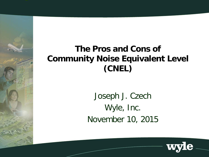### **The Pros and Cons of Community Noise Equivalent Level (CNEL)**

Joseph J. Czech Wyle, Inc. November 10, 2015

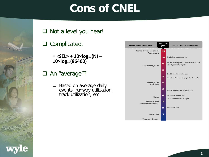# **Cons of CNEL**



#### Q Complicated.

- = <**SEL> + 10×log10(N) – 10×log10(86400)**
- □ An "average"?
	- $\Box$  Based on average daily events, runway utilization, track utilization, etc.

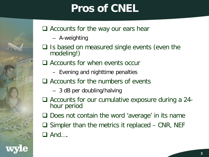# **Pros of CNEL**

#### $\Box$  Accounts for the way our ears hear

- A-weighting
- $\Box$  Is based on measured single events (even the modeling!)

#### $\Box$  Accounts for when events occur

- Evening and nighttime penalties
- $\Box$  Accounts for the numbers of events
	- 3 dB per doubling/halving
- Accounts for our cumulative exposure during a 24- hour period
- $\Box$  Does not contain the word 'average' in its name
- $\Box$  Simpler than the metrics it replaced CNR, NEF  $\Box$  And  $\ldots$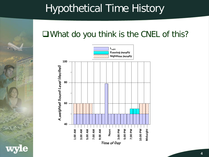# Hypothetical Time History

### What do you think is the CNEL of this?

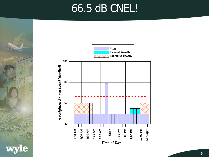## 66.5 dB CNEL!

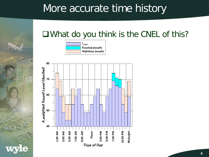## More accurate time history

### What do you think is the CNEL of this?



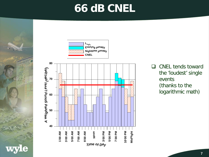## **66 dB CNEL**





 $\Box$  CNEL tends toward the 'loudest' single events (thanks to the logarithmic math)